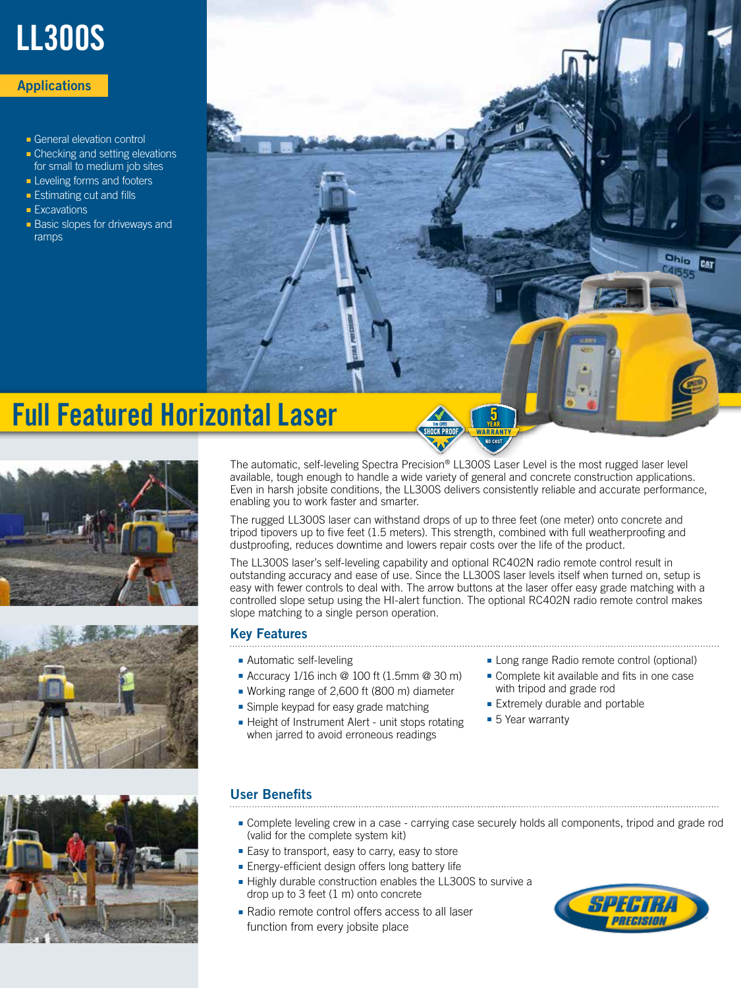# LL300S

#### **Applications**

- General elevation control
- Checking and setting elevations for small to medium job sites
- Leveling forms and footers
- Estimating cut and fills
- Excavations
- Basic slopes for driveways and ramps



## Full Featured Horizontal Laser







The automatic, self-leveling Spectra Precision® LL300S Laser Level is the most rugged laser level available, tough enough to handle a wide variety of general and concrete construction applications. Even in harsh jobsite conditions, the LL300S delivers consistently reliable and accurate performance, enabling you to work faster and smarter.

The rugged LL300S laser can withstand drops of up to three feet (one meter) onto concrete and tripod tipovers up to five feet (1.5 meters). This strength, combined with full weatherproofing and dustproofing, reduces downtime and lowers repair costs over the life of the product.

The LL300S laser's self-leveling capability and optional RC402N radio remote control result in outstanding accuracy and ease of use. Since the LL300S laser levels itself when turned on, setup is easy with fewer controls to deal with. The arrow buttons at the laser offer easy grade matching with a controlled slope setup using the HI-alert function. The optional RC402N radio remote control makes slope matching to a single person operation.

#### Key Features

- Automatic self-leveling
- Accuracy 1/16 inch @ 100 ft (1.5mm @ 30 m)
- Working range of 2,600 ft (800 m) diameter
- Simple keypad for easy grade matching
- Height of Instrument Alert unit stops rotating when jarred to avoid erroneous readings
- Long range Radio remote control (optional)
- Complete kit available and fits in one case with tripod and grade rod
- Extremely durable and portable
- 5 Year warranty

#### User Benefits

- Complete leveling crew in a case carrying case securely holds all components, tripod and grade rod (valid for the complete system kit)
- Easy to transport, easy to carry, easy to store
- Energy-efficient design offers long battery life
- Highly durable construction enables the LL300S to survive a drop up to 3 feet (1 m) onto concrete
- Radio remote control offers access to all laser function from every jobsite place